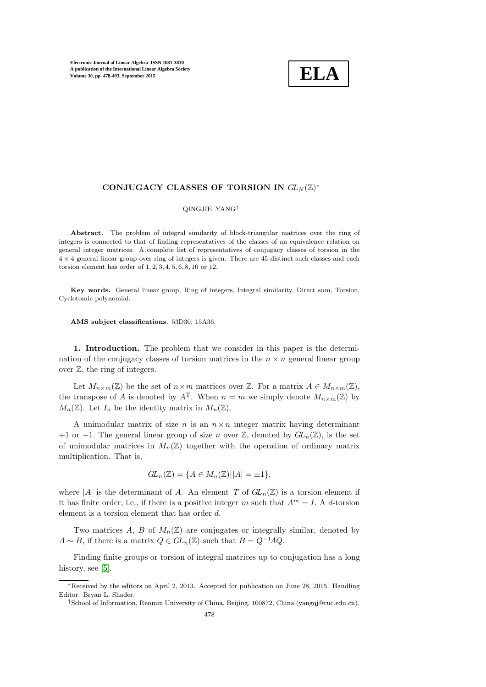

# CONJUGACY CLASSES OF TORSION IN  $GL_N(\mathbb{Z})^*$

### QINGJIE YANG†

Abstract. The problem of integral similarity of block-triangular matrices over the ring of integers is connected to that of finding representatives of the classes of an equivalence relation on general integer matrices. A complete list of representatives of conjugacy classes of torsion in the  $4 \times 4$  general linear group over ring of integers is given. There are 45 distinct such classes and each torsion element has order of 1, 2, 3, 4, 5, 6, 8, 10 or 12.

Key words. General linear group, Ring of integers, Integral similarity, Direct sum, Torsion, Cyclotomic polynomial.

AMS subject classifications. 53D30, 15A36.

1. Introduction. The problem that we consider in this paper is the determination of the conjugacy classes of torsion matrices in the  $n \times n$  general linear group over  $\mathbb{Z}$ , the ring of integers.

Let  $M_{n\times m}(\mathbb{Z})$  be the set of  $n\times m$  matrices over  $\mathbb{Z}$ . For a matrix  $A \in M_{n\times m}(\mathbb{Z})$ , the transpose of A is denoted by  $A<sup>T</sup>$ . When  $n = m$  we simply denote  $M_{n \times m}(\mathbb{Z})$  by  $M_n(\mathbb{Z})$ . Let  $I_n$  be the identity matrix in  $M_n(\mathbb{Z})$ .

A unimodular matrix of size n is an  $n \times n$  integer matrix having determinant +1 or −1. The general linear group of size n over  $\mathbb{Z}$ , denoted by  $GL_n(\mathbb{Z})$ , is the set of unimodular matrices in  $M_n(\mathbb{Z})$  together with the operation of ordinary matrix multiplication. That is,

$$
GL_n(\mathbb{Z}) = \{ A \in M_n(\mathbb{Z}) \big| |A| = \pm 1 \},\
$$

where |A| is the determinant of A. An element T of  $GL_n(\mathbb{Z})$  is a torsion element if it has finite order, i.e., if there is a positive integer m such that  $A<sup>m</sup> = I$ . A d-torsion element is a torsion element that has order d.

Two matrices A, B of  $M_n(\mathbb{Z})$  are conjugates or integrally similar, denoted by  $A \sim B$ , if there is a matrix  $Q \in GL_n(\mathbb{Z})$  such that  $B = Q^{-1}AQ$ .

Finding finite groups or torsion of integral matrices up to conjugation has a long history, see [\[5\]](#page-15-0).

<sup>∗</sup>Received by the editors on April 2, 2013. Accepted for publication on June 28, 2015. Handling Editor: Bryan L. Shader.

<sup>†</sup>School of Information, Renmin University of China, Beijing, 100872, China (yangqj@ruc.edu.cn).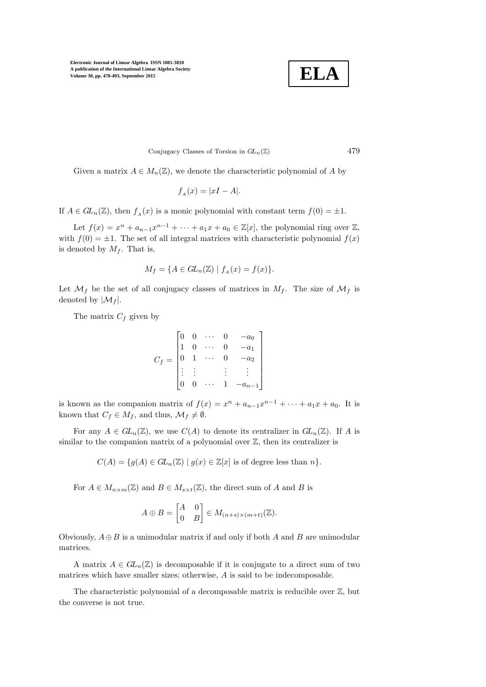**ELA**

Conjugacy Classes of Torsion in  $GL_n(\mathbb{Z})$  479

Given a matrix  $A \in M_n(\mathbb{Z})$ , we denote the characteristic polynomial of A by

$$
f_A(x) = |xI - A|.
$$

If  $A \in GL_n(\mathbb{Z})$ , then  $f_A(x)$  is a monic polynomial with constant term  $f(0) = \pm 1$ .

Let  $f(x) = x^n + a_{n-1}x^{n-1} + \cdots + a_1x + a_0 \in \mathbb{Z}[x]$ , the polynomial ring over  $\mathbb{Z}$ , with  $f(0) = \pm 1$ . The set of all integral matrices with characteristic polynomial  $f(x)$ is denoted by  $M_f$ . That is,

$$
M_f = \{ A \in GL_n(\mathbb{Z}) \mid f_A(x) = f(x) \}.
$$

Let  $\mathcal{M}_f$  be the set of all conjugacy classes of matrices in  $M_f$ . The size of  $\mathcal{M}_f$  is denoted by  $|\mathcal{M}_f|$ .

The matrix  $C_f$  given by

$$
C_f = \begin{bmatrix} 0 & 0 & \cdots & 0 & -a_0 \\ 1 & 0 & \cdots & 0 & -a_1 \\ 0 & 1 & \cdots & 0 & -a_2 \\ \vdots & \vdots & & \vdots & \vdots \\ 0 & 0 & \cdots & 1 & -a_{n-1} \end{bmatrix}
$$

is known as the companion matrix of  $f(x) = x^n + a_{n-1}x^{n-1} + \cdots + a_1x + a_0$ . It is known that  $C_f \in M_f$ , and thus,  $\mathcal{M}_f \neq \emptyset$ .

For any  $A \in GL_n(\mathbb{Z})$ , we use  $C(A)$  to denote its centralizer in  $GL_n(\mathbb{Z})$ . If A is similar to the companion matrix of a polynomial over  $\mathbb{Z}$ , then its centralizer is

 $C(A) = \{g(A) \in GL_n(\mathbb{Z}) \mid g(x) \in \mathbb{Z}[x] \text{ is of degree less than } n\}.$ 

For  $A \in M_{n \times m}(\mathbb{Z})$  and  $B \in M_{s \times t}(\mathbb{Z})$ , the direct sum of A and B is

$$
A \oplus B = \begin{bmatrix} A & 0 \\ 0 & B \end{bmatrix} \in M_{(n+s)\times(m+t)}(\mathbb{Z}).
$$

Obviously,  $A \oplus B$  is a unimodular matrix if and only if both A and B are unimodular matrices.

A matrix  $A \in GL_n(\mathbb{Z})$  is decomposable if it is conjugate to a direct sum of two matrices which have smaller sizes; otherwise, A is said to be indecomposable.

The characteristic polynomial of a decomposable matrix is reducible over  $\mathbb{Z}$ , but the converse is not true.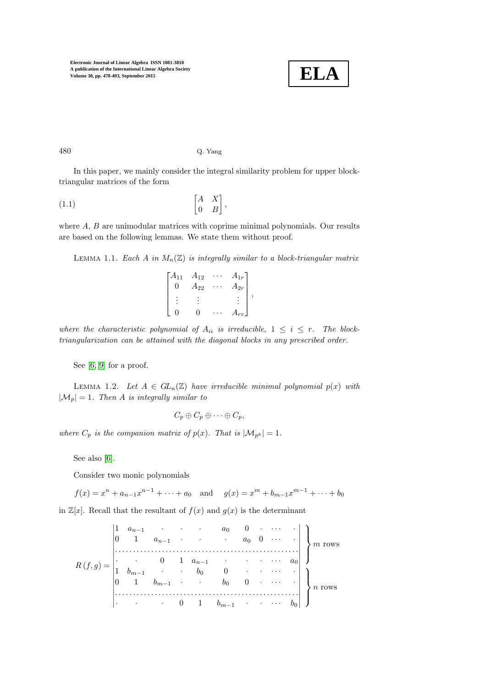

### 480 Q. Yang

In this paper, we mainly consider the integral similarity problem for upper blocktriangular matrices of the form

$$
\begin{bmatrix} A & X \\ 0 & B \end{bmatrix},
$$

<span id="page-2-1"></span>where  $A, B$  are unimodular matrices with coprime minimal polynomials. Our results are based on the following lemmas. We state them without proof.

LEMMA 1.1. Each A in  $M_n(\mathbb{Z})$  is integrally similar to a block-triangular matrix

<span id="page-2-2"></span>

| Г $A_{11}$ | $A_{12}$     | $A_{1r}$ |  |
|------------|--------------|----------|--|
| IJ         | $\rm 4_{22}$ | $A_{2r}$ |  |
|            |              |          |  |
|            |              |          |  |

where the characteristic polynomial of  $A_{ii}$  is irreducible,  $1 \leq i \leq r$ . The blocktriangularization can be attained with the diagonal blocks in any prescribed order.

<span id="page-2-0"></span>See [\[6,](#page-15-1) [9\]](#page-15-2) for a proof.

LEMMA 1.2. Let  $A \in GL_n(\mathbb{Z})$  have irreducible minimal polynomial  $p(x)$  with  $|\mathcal{M}_p| = 1$ . Then A is integrally similar to

$$
C_p \oplus C_p \oplus \cdots \oplus C_p,
$$

where  $C_p$  is the companion matrix of  $p(x)$ . That is  $|\mathcal{M}_{p^k}| = 1$ .

See also [\[6\]](#page-15-1).

Consider two monic polynomials

 $f(x) = x^n + a_{n-1}x^{n-1} + \cdots + a_0$  and  $g(x) = x^m + b_{m-1}x^{m-1} + \cdots + b_0$ 

in  $\mathbb{Z}[x]$ . Recall that the resultant of  $f(x)$  and  $g(x)$  is the determinant

$$
R(f,g) = \begin{vmatrix} 1 & a_{n-1} & \cdots & a_0 & 0 & \cdots & \cdot \\ 0 & 1 & a_{n-1} & \cdots & a_0 & 0 & \cdots & \cdot \\ \vdots & \vdots & \vdots & \vdots & \vdots & \vdots & \vdots & \vdots \\ 1 & b_{m-1} & \cdots & b_0 & 0 & \cdots & \cdot \\ 0 & 1 & b_{m-1} & \cdots & b_0 & 0 & \cdots & \cdot \\ \vdots & \vdots & \vdots & \vdots & \vdots & \vdots & \vdots & \vdots \\ 0 & 1 & b_{m-1} & \cdots & b_0 & \cdots & \cdot \\ \vdots & \vdots & \vdots & \vdots & \vdots & \vdots & \vdots \\ 0 & 1 & b_{m-1} & \cdots & \cdots & b_0 \end{vmatrix}^T n \text{ rows}
$$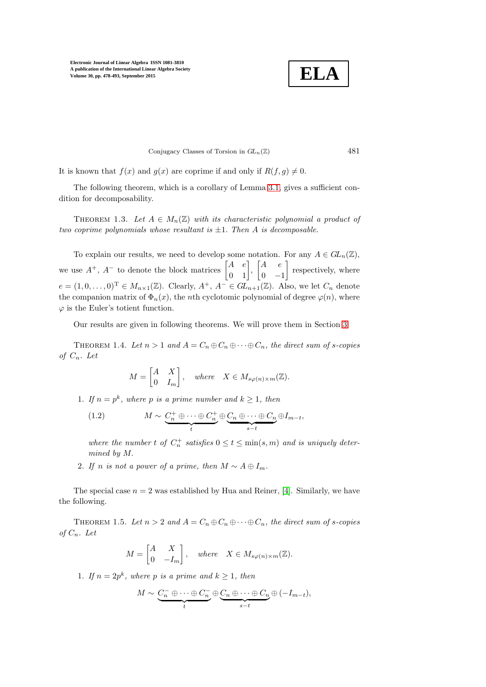**ELA**

Conjugacy Classes of Torsion in  $GL_n(\mathbb{Z})$  481

It is known that  $f(x)$  and  $g(x)$  are coprime if and only if  $R(f, g) \neq 0$ .

<span id="page-3-2"></span>The following theorem, which is a corollary of Lemma [3.1,](#page-9-0) gives a sufficient condition for decomposability.

THEOREM 1.3. Let  $A \in M_n(\mathbb{Z})$  with its characteristic polynomial a product of two coprime polynomials whose resultant is  $\pm 1$ . Then A is decomposable.

To explain our results, we need to develop some notation. For any  $A \in GL_n(\mathbb{Z})$ , we use  $A^+$ ,  $A^-$  to denote the block matrices  $\begin{bmatrix} A & e \\ 0 & 1 \end{bmatrix}$ ,  $\begin{bmatrix} A & e \\ 0 & -A \end{bmatrix}$  $0 -1$  respectively, where  $e = (1, 0, \ldots, 0)^{\mathrm{T}} \in M_{n \times 1}(\mathbb{Z})$ . Clearly,  $A^+, A^- \in \widetilde{GL}_{n+1}(\mathbb{Z})$ . Also, we let  $C_n$  denote the companion matrix of  $\Phi_n(x)$ , the *n*th cyclotomic polynomial of degree  $\varphi(n)$ , where  $\varphi$  is the Euler's totient function.

<span id="page-3-0"></span>Our results are given in following theorems. We will prove them in Section [3.](#page-9-1)

THEOREM 1.4. Let  $n > 1$  and  $A = C_n \oplus C_n \oplus \cdots \oplus C_n$ , the direct sum of s-copies of  $C_n$ . Let

<span id="page-3-3"></span>
$$
M = \begin{bmatrix} A & X \\ 0 & I_m \end{bmatrix}, \quad where \quad X \in M_{s\varphi(n)\times m}(\mathbb{Z}).
$$

1. If  $n = p^k$ , where p is a prime number and  $k \ge 1$ , then

(1.2) 
$$
M \sim \underbrace{C_n^+ \oplus \cdots \oplus C_n^+}_{t} \oplus \underbrace{C_n \oplus \cdots \oplus C_n}_{s-t} \oplus I_{m-t},
$$

where the number t of  $C_n^+$  satisfies  $0 \le t \le \min(s,m)$  and is uniquely determined by M.

2. If n is not a power of a prime, then  $M \sim A \oplus I_m$ .

<span id="page-3-1"></span>The special case  $n = 2$  was established by Hua and Reiner, [\[4\]](#page-14-0). Similarly, we have the following.

THEOREM 1.5. Let  $n > 2$  and  $A = C_n \oplus C_n \oplus \cdots \oplus C_n$ , the direct sum of s-copies of  $C_n$ . Let

$$
M = \begin{bmatrix} A & X \\ 0 & -I_m \end{bmatrix}, \quad where \quad X \in M_{s\varphi(n)\times m}(\mathbb{Z}).
$$

1. If  $n = 2p^k$ , where p is a prime and  $k \ge 1$ , then

$$
M \sim \underbrace{C_n^- \oplus \cdots \oplus C_n^-}_{t} \oplus \underbrace{C_n \oplus \cdots \oplus C_n}_{s-t} \oplus (-I_{m-t}),
$$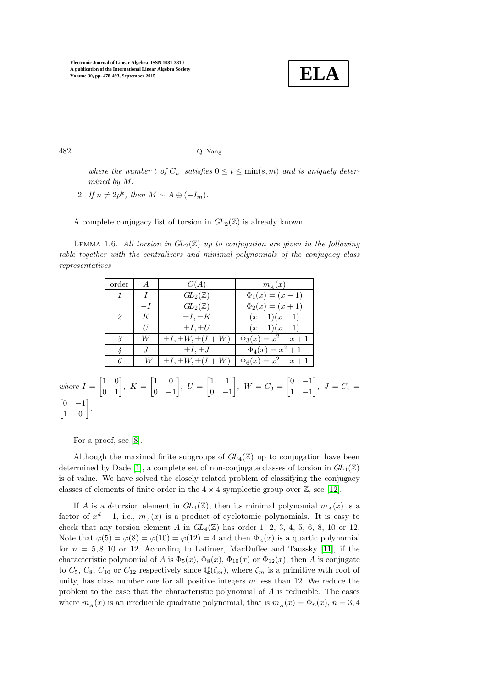

482 Q. Yang

where the number t of  $C_n^-$  satisfies  $0 \le t \le \min(s,m)$  and is uniquely determined by M.

2. If  $n \neq 2p^k$ , then  $M \sim A \oplus (-I_m)$ .

<span id="page-4-0"></span>A complete conjugacy list of torsion in  $GL_2(\mathbb{Z})$  is already known.

LEMMA 1.6. All torsion in  $GL_2(\mathbb{Z})$  up to conjugation are given in the following table together with the centralizers and minimal polynomials of the conjugacy class representatives

| order | $\overline{A}$ | C(A)                        | $m_A(x)$                  |
|-------|----------------|-----------------------------|---------------------------|
|       |                | $GL_2(\mathbb{Z})$          | $\Phi_1(x) = (x-1)$       |
|       | $-I$           | $GL_2(\mathbb{Z})$          | $\Phi_2(x) = (x+1)$       |
| 2     | K              | $\pm I, \pm K$              | $(x-1)(x+1)$              |
|       | H              | $\pm I, \pm U$              | $(x-1)(x+1)$              |
| 3     | W              | $\pm I, \pm W, \pm (I + W)$ | $\Phi_3(x) = x^2 + x + 1$ |
|       |                | $\pm I, \pm J$              | $\Phi_4(x) = x^2 + 1$     |
| 6     | $-W$           | $\pm I, \pm W, \pm (I + W)$ | $\Phi_6(x) = x^2 - x + 1$ |

#### where  $I = \begin{bmatrix} 1 & 0 \\ 0 & 1 \end{bmatrix}$ ,  $K = \begin{bmatrix} 1 & 0 \\ 0 & -1 \end{bmatrix}$  $0 -1$  $\Big\}, U = \begin{bmatrix} 1 & 1 \\ 0 & 1 \end{bmatrix}$  $0 -1$  $\Big\}, W = C_3 = \begin{bmatrix} 0 & -1 \\ 1 & 1 \end{bmatrix}$ 1 −1  $\Big\},\; J = C_4 =$  $\begin{bmatrix} 0 & -1 \\ 1 & 0 \end{bmatrix}$ .

For a proof, see [\[8\]](#page-15-3).

Although the maximal finite subgroups of  $GL_4(\mathbb{Z})$  up to conjugation have been determined by Dade [\[1\]](#page-14-1), a complete set of non-conjugate classes of torsion in  $GL_4(\mathbb{Z})$ is of value. We have solved the closely related problem of classifying the conjugacy classes of elements of finite order in the  $4 \times 4$  symplectic group over  $\mathbb{Z}$ , see [\[12\]](#page-15-4).

If A is a d-torsion element in  $GL_4(\mathbb{Z})$ , then its minimal polynomial  $m_A(x)$  is a factor of  $x^d - 1$ , i.e.,  $m_A(x)$  is a product of cyclotomic polynomials. It is easy to check that any torsion element A in  $GL_4(\mathbb{Z})$  has order 1, 2, 3, 4, 5, 6, 8, 10 or 12. Note that  $\varphi(5) = \varphi(8) = \varphi(10) = \varphi(12) = 4$  and then  $\Phi_n(x)$  is a quartic polynomial for  $n = 5, 8, 10$  or 12. According to Latimer, MacDuffee and Taussky [\[11\]](#page-15-5), if the characteristic polynomial of A is  $\Phi_5(x)$ ,  $\Phi_8(x)$ ,  $\Phi_{10}(x)$  or  $\Phi_{12}(x)$ , then A is conjugate to  $C_5$ ,  $C_8$ ,  $C_{10}$  or  $C_{12}$  respectively since  $\mathbb{Q}(\zeta_m)$ , where  $\zeta_m$  is a primitive mth root of unity, has class number one for all positive integers  $m$  less than 12. We reduce the problem to the case that the characteristic polynomial of A is reducible. The cases where  $m_A(x)$  is an irreducible quadratic polynomial, that is  $m_A(x) = \Phi_n(x)$ ,  $n = 3, 4$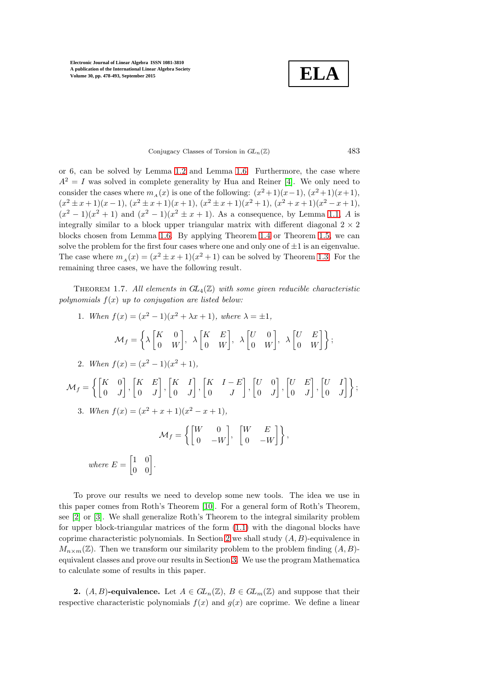**ELA**

Conjugacy Classes of Torsion in  $GL_n(\mathbb{Z})$  483

or 6, can be solved by Lemma [1.2](#page-2-0) and Lemma [1.6.](#page-4-0) Furthermore, the case where  $A^2 = I$  was solved in complete generality by Hua and Reiner [\[4\]](#page-14-0). We only need to consider the cases where  $m_A(x)$  is one of the following:  $(x^2+1)(x-1)$ ,  $(x^2+1)(x+1)$ ,  $(x^{2} \pm x+1)(x-1), (x^{2} \pm x+1)(x+1), (x^{2} \pm x+1)(x^{2}+1), (x^{2}+x+1)(x^{2}-x+1),$  $(x^{2} - 1)(x^{2} + 1)$  and  $(x^{2} - 1)(x^{2} \pm x + 1)$ . As a consequence, by Lemma [1.1,](#page-2-1) A is integrally similar to a block upper triangular matrix with different diagonal  $2 \times 2$ blocks chosen from Lemma [1.6.](#page-4-0) By applying Theorem [1.4](#page-3-0) or Theorem [1.5,](#page-3-1) we can solve the problem for the first four cases where one and only one of  $\pm 1$  is an eigenvalue. The case where  $m_A(x) = (x^2 \pm x + 1)(x^2 + 1)$  can be solved by Theorem [1.3.](#page-3-2) For the remaining three cases, we have the following result.

<span id="page-5-1"></span>THEOREM 1.7. All elements in  $GL_4(\mathbb{Z})$  with some given reducible characteristic polynomials  $f(x)$  up to conjugation are listed below:

1. When 
$$
f(x) = (x^2 - 1)(x^2 + \lambda x + 1)
$$
, where  $\lambda = \pm 1$ ,  
\n
$$
\mathcal{M}_f = \left\{ \lambda \begin{bmatrix} K & 0 \\ 0 & W \end{bmatrix}, \lambda \begin{bmatrix} K & E \\ 0 & W \end{bmatrix}, \lambda \begin{bmatrix} U & 0 \\ 0 & W \end{bmatrix}, \lambda \begin{bmatrix} U & E \\ 0 & W \end{bmatrix} \right\};
$$
\n2. When  $f(x) = (x^2 - 1)(x^2 + 1)$ ,  
\n
$$
\mathcal{M}_f = \left\{ \begin{bmatrix} K & 0 \\ 0 & J \end{bmatrix}, \begin{bmatrix} K & E \\ 0 & J \end{bmatrix}, \begin{bmatrix} K & I \\ 0 & J \end{bmatrix}, \begin{bmatrix} K & I - E \\ 0 & J \end{bmatrix}, \begin{bmatrix} U & 0 \\ 0 & J \end{bmatrix}, \begin{bmatrix} U & E \\ 0 & J \end{bmatrix}, \begin{bmatrix} U & I \\ 0 & J \end{bmatrix} \right\};
$$
\n3. When  $f(x) = (x^2 + x + 1)(x^2 - x + 1)$ ,  
\n
$$
\mathcal{M}_f = \left\{ \begin{bmatrix} W & 0 \\ 0 & -W \end{bmatrix}, \begin{bmatrix} W & E \\ 0 & -W \end{bmatrix} \right\},
$$
\nwhere  $E = \begin{bmatrix} 1 & 0 \\ 0 & 0 \end{bmatrix}$ .

To prove our results we need to develop some new tools. The idea we use in this paper comes from Roth's Theorem [\[10\]](#page-15-6). For a general form of Roth's Theorem, see [\[2\]](#page-14-2) or [\[3\]](#page-14-3). We shall generalize Roth's Theorem to the integral similarity problem for upper block-triangular matrices of the form [\(1](#page-2-2).1) with the diagonal blocks have coprime characteristic polynomials. In Section [2](#page-5-0) we shall study  $(A, B)$ -equivalence in  $M_{n\times m}(\mathbb{Z})$ . Then we transform our similarity problem to the problem finding  $(A, B)$ equivalent classes and prove our results in Section [3.](#page-9-1) We use the program Mathematica to calculate some of results in this paper.

<span id="page-5-0"></span>**2.**  $(A, B)$ -equivalence. Let  $A \in GL_n(\mathbb{Z})$ ,  $B \in GL_m(\mathbb{Z})$  and suppose that their respective characteristic polynomials  $f(x)$  and  $g(x)$  are coprime. We define a linear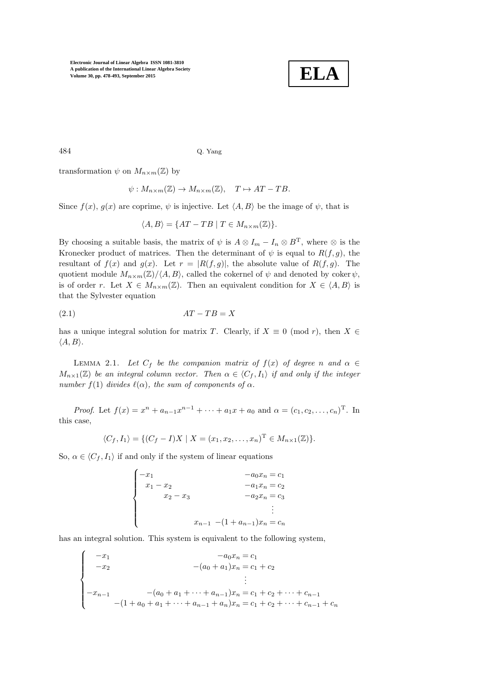

 $\overline{a}$ 

484 Q. Yang

transformation  $\psi$  on  $M_{n\times m}(\mathbb{Z})$  by

$$
\psi: M_{n \times m}(\mathbb{Z}) \to M_{n \times m}(\mathbb{Z}), \quad T \mapsto AT - TB.
$$

Since  $f(x)$ ,  $g(x)$  are coprime,  $\psi$  is injective. Let  $\langle A, B \rangle$  be the image of  $\psi$ , that is

<span id="page-6-1"></span>
$$
\langle A, B \rangle = \{AT - TB \mid T \in M_{n \times m}(\mathbb{Z})\}.
$$

By choosing a suitable basis, the matrix of  $\psi$  is  $A \otimes I_m - I_n \otimes B^T$ , where  $\otimes$  is the Kronecker product of matrices. Then the determinant of  $\psi$  is equal to  $R(f, g)$ , the resultant of  $f(x)$  and  $g(x)$ . Let  $r = |R(f,g)|$ , the absolute value of  $R(f,g)$ . The quotient module  $M_{n\times m}(\mathbb{Z})/\langle A, B \rangle$ , called the cokernel of  $\psi$  and denoted by coker  $\psi$ , is of order r. Let  $X \in M_{n \times m}(\mathbb{Z})$ . Then an equivalent condition for  $X \in \langle A, B \rangle$  is that the Sylvester equation

$$
(2.1)\t\t\t AT - TB = X
$$

<span id="page-6-0"></span>has a unique integral solution for matrix T. Clearly, if  $X \equiv 0 \pmod{r}$ , then  $X \in$  $\langle A, B \rangle$ .

LEMMA 2.1. Let  $C_f$  be the companion matrix of  $f(x)$  of degree n and  $\alpha \in$  $M_{n\times1}(\mathbb{Z})$  be an integral column vector. Then  $\alpha \in \langle C_f, I_1 \rangle$  if and only if the integer number  $f(1)$  divides  $\ell(\alpha)$ , the sum of components of  $\alpha$ .

*Proof.* Let  $f(x) = x^n + a_{n-1}x^{n-1} + \cdots + a_1x + a_0$  and  $\alpha = (c_1, c_2, \ldots, c_n)^T$ . In this case,

$$
\langle C_f, I_1 \rangle = \{ (C_f - I)X \mid X = (x_1, x_2, \dots, x_n)^\mathrm{T} \in M_{n \times 1}(\mathbb{Z}) \}.
$$

So,  $\alpha \in \langle C_f, I_1 \rangle$  if and only if the system of linear equations

$$
\begin{cases}\n-x_1 & -a_0x_n = c_1 \\
x_1 - x_2 & -a_1x_n = c_2 \\
x_2 - x_3 & -a_2x_n = c_3 \\
\vdots & \\
x_{n-1} - (1 + a_{n-1})x_n = c_n\n\end{cases}
$$

has an integral solution. This system is equivalent to the following system,

$$
\begin{cases}\n-x_1 & -a_0x_n = c_1 \\
-x_2 & -(a_0 + a_1)x_n = c_1 + c_2 \\
\vdots \\
-x_{n-1} & -(1 + a_0 + a_1 + \dots + a_{n-1})x_n = c_1 + c_2 + \dots + c_{n-1} \\
-(1 + a_0 + a_1 + \dots + a_{n-1} + a_n)x_n = c_1 + c_2 + \dots + c_{n-1} + c_n\n\end{cases}
$$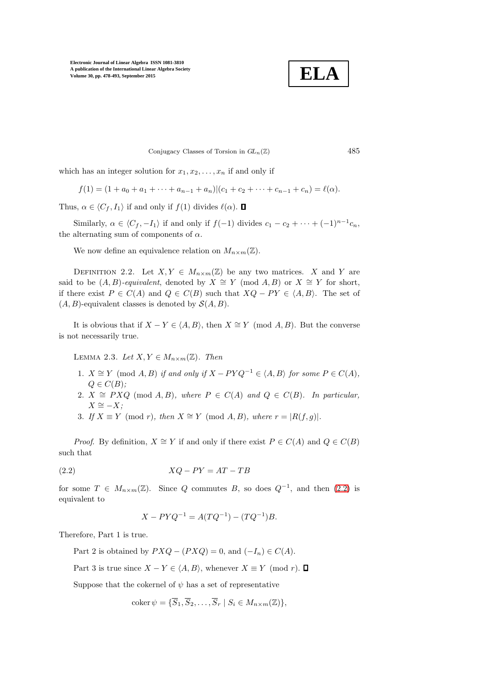**ELA**

Conjugacy Classes of Torsion in  $GL_n(\mathbb{Z})$  485

which has an integer solution for  $x_1, x_2, \ldots, x_n$  if and only if

 $f(1) = (1 + a_0 + a_1 + \cdots + a_{n-1} + a_n)(c_1 + c_2 + \cdots + c_{n-1} + c_n) = \ell(\alpha).$ 

Thus,  $\alpha \in \langle C_f, I_1 \rangle$  if and only if  $f(1)$  divides  $\ell(\alpha)$ .  $\Box$ 

Similarly,  $\alpha \in \langle C_f, -I_1 \rangle$  if and only if  $f(-1)$  divides  $c_1 - c_2 + \cdots + (-1)^{n-1}c_n$ , the alternating sum of components of  $\alpha$ .

We now define an equivalence relation on  $M_{n \times m}(\mathbb{Z})$ .

DEFINITION 2.2. Let  $X, Y \in M_{n \times m}(\mathbb{Z})$  be any two matrices. X and Y are said to be  $(A, B)$ -equivalent, denoted by  $X \cong Y \pmod{A, B}$  or  $X \cong Y$  for short, if there exist  $P \in C(A)$  and  $Q \in C(B)$  such that  $XQ - PY \in \langle A, B \rangle$ . The set of  $(A, B)$ -equivalent classes is denoted by  $\mathcal{S}(A, B)$ .

It is obvious that if  $X - Y \in \langle A, B \rangle$ , then  $X \cong Y \pmod{A, B}$ . But the converse is not necessarily true.

LEMMA 2.3. Let  $X, Y \in M_{n \times m}(\mathbb{Z})$ . Then

- 1.  $X \cong Y \pmod{A, B}$  if and only if  $X PYQ^{-1} \in \langle A, B \rangle$  for some  $P \in C(A)$ .  $Q \in C(B)$ ;
- 2.  $X \cong PXQ \pmod{A,B}$ , where  $P \in C(A)$  and  $Q \in C(B)$ . In particular,  $X \cong -X;$
- 3. If  $X \equiv Y \pmod{r}$ , then  $X \cong Y \pmod{A, B}$ , where  $r = |R(f, g)|$ .

*Proof.* By definition,  $X \cong Y$  if and only if there exist  $P \in C(A)$  and  $Q \in C(B)$ such that

$$
(2.2) \t\t XQ - PY = AT - TB
$$

for some  $T \in M_{n \times m}(\mathbb{Z})$ . Since Q commutes B, so does  $Q^{-1}$ , and then  $(2.2)$  is equivalent to

<span id="page-7-0"></span>
$$
X - PYQ^{-1} = A(TQ^{-1}) - (TQ^{-1})B.
$$

Therefore, Part 1 is true.

Part 2 is obtained by  $PXQ - (PXQ) = 0$ , and  $(-I_n) \in C(A)$ .

Part 3 is true since  $X - Y \in \langle A, B \rangle$ , whenever  $X \equiv Y \pmod{r}$ .  $\Box$ 

Suppose that the cokernel of  $\psi$  has a set of representative

$$
\mathrm{coker}\,\psi=\{\overline{S}_1,\overline{S}_2,\ldots,\overline{S}_r\mid S_i\in M_{n\times m}(\mathbb{Z})\},\,
$$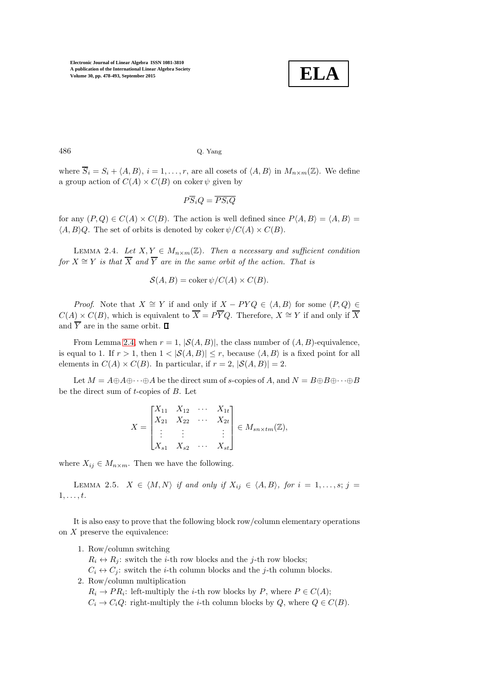

486 Q. Yang

where  $\overline{S}_i = S_i + \langle A, B \rangle$ ,  $i = 1, \ldots, r$ , are all cosets of  $\langle A, B \rangle$  in  $M_{n \times m}(\mathbb{Z})$ . We define a group action of  $C(A) \times C(B)$  on coker  $\psi$  given by

$$
P\overline{S}_iQ = \overline{PS_iQ}
$$

<span id="page-8-0"></span>for any  $(P,Q) \in C(A) \times C(B)$ . The action is well defined since  $P(A, B) = \langle A, B \rangle =$  $\langle A, B \rangle Q$ . The set of orbits is denoted by coker  $\psi/C(A) \times C(B)$ .

LEMMA 2.4. Let  $X, Y \in M_{n \times m}(\mathbb{Z})$ . Then a necessary and sufficient condition for  $X \cong Y$  is that  $\overline{X}$  and  $\overline{Y}$  are in the same orbit of the action. That is

$$
\mathcal{S}(A, B) = \operatorname{coker} \psi / C(A) \times C(B).
$$

*Proof.* Note that  $X \cong Y$  if and only if  $X - PYQ \in \langle A, B \rangle$  for some  $(P, Q) \in$  $C(A) \times C(B)$ , which is equivalent to  $\overline{X} = P\overline{Y}Q$ . Therefore,  $X \cong Y$  if and only if  $\overline{X}$ and  $\overline{Y}$  are in the same orbit.  $\square$ 

From Lemma [2.4,](#page-8-0) when  $r = 1$ ,  $|\mathcal{S}(A, B)|$ , the class number of  $(A, B)$ -equivalence, is equal to 1. If  $r > 1$ , then  $1 < |\mathcal{S}(A, B)| \le r$ , because  $\langle A, B \rangle$  is a fixed point for all elements in  $C(A) \times C(B)$ . In particular, if  $r = 2$ ,  $|S(A, B)| = 2$ .

Let  $M = A \oplus A \oplus \cdots \oplus A$  be the direct sum of s-copies of A, and  $N = B \oplus B \oplus \cdots \oplus B$ be the direct sum of t-copies of B. Let

$$
X = \begin{bmatrix} X_{11} & X_{12} & \cdots & X_{1t} \\ X_{21} & X_{22} & \cdots & X_{2t} \\ \vdots & \vdots & & \vdots \\ X_{s1} & X_{s2} & \cdots & X_{st} \end{bmatrix} \in M_{sn \times tm}(\mathbb{Z}),
$$

<span id="page-8-1"></span>where  $X_{ij} \in M_{n \times m}$ . Then we have the following.

LEMMA 2.5.  $X \in \langle M, N \rangle$  if and only if  $X_{ij} \in \langle A, B \rangle$ , for  $i = 1, ..., s; j =$  $1, \ldots, t$ .

It is also easy to prove that the following block row/column elementary operations on  $X$  preserve the equivalence:

1. Row/column switching

 $R_i \leftrightarrow R_j$ : switch the *i*-th row blocks and the *j*-th row blocks;

 $C_i \leftrightarrow C_j$ : switch the *i*-th column blocks and the *j*-th column blocks. 2. Row/column multiplication

 $R_i \to PR_i$ : left-multiply the *i*-th row blocks by P, where  $P \in C(A)$ ;

 $C_i \rightarrow C_i Q$ : right-multiply the *i*-th column blocks by  $Q$ , where  $Q \in C(B)$ .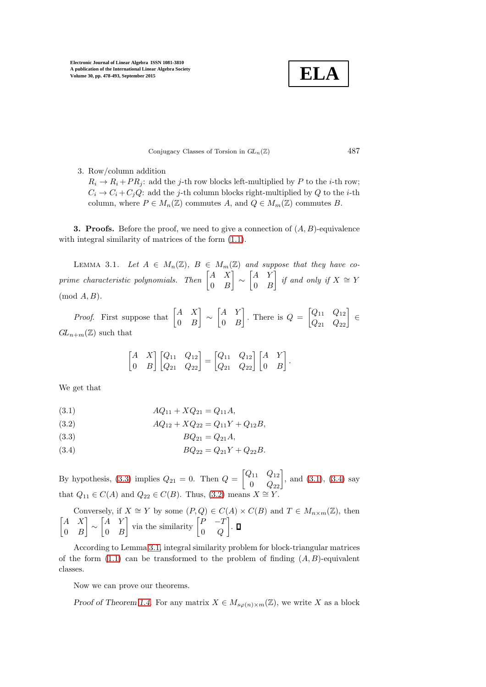**ELA**

Conjugacy Classes of Torsion in  $GL_n(\mathbb{Z})$  487

3. Row/column addition

 $R_i \rightarrow R_i + PR_j$ : add the j-th row blocks left-multiplied by P to the i-th row;  $C_i \rightarrow C_i + C_j Q$ : add the j-th column blocks right-multiplied by Q to the i-th column, where  $P \in M_n(\mathbb{Z})$  commutes A, and  $Q \in M_m(\mathbb{Z})$  commutes B.

<span id="page-9-1"></span>**3. Proofs.** Before the proof, we need to give a connection of  $(A, B)$ -equivalence with integral similarity of matrices of the form  $(1.1)$ .

<span id="page-9-0"></span>LEMMA 3.1. Let  $A \in M_n(\mathbb{Z})$ ,  $B \in M_m(\mathbb{Z})$  and suppose that they have coprime characteristic polynomials. Then  $\begin{bmatrix} A & X \\ 0 & D \end{bmatrix}$  $0 \quad B$  $\Big] \sim \begin{bmatrix} A & Y \\ 0 & I \end{bmatrix}$  $0 \quad B$  $}$  if and only if  $X \cong Y$  $(mod A, B).$ 

*Proof.* First suppose that  $\begin{bmatrix} A & X \\ 0 & B \end{bmatrix}$  $0 \quad B$  $\Big] \sim \begin{bmatrix} A & Y \\ 0 & I \end{bmatrix}$  $0 \quad B$ . There is  $Q = \begin{bmatrix} Q_{11} & Q_{12} \\ Q_{21} & Q_{22} \end{bmatrix} \in$  $GL_{n+m}(\mathbb{Z})$  such that

$$
\begin{bmatrix} A & X \\ 0 & B \end{bmatrix} \begin{bmatrix} Q_{11} & Q_{12} \\ Q_{21} & Q_{22} \end{bmatrix} = \begin{bmatrix} Q_{11} & Q_{12} \\ Q_{21} & Q_{22} \end{bmatrix} \begin{bmatrix} A & Y \\ 0 & B \end{bmatrix}.
$$

We get that

<span id="page-9-3"></span>
$$
(3.1) \t\t AQ_{11} + XQ_{21} = Q_{11}A,
$$

<span id="page-9-5"></span>
$$
(3.2) \t\t AQ_{12} + XQ_{22} = Q_{11}Y + Q_{12}B,
$$

<span id="page-9-2"></span>
$$
(3.3) \t BQ_{21} = Q_{21}A,
$$

<span id="page-9-4"></span>(3.4) 
$$
BQ_{22} = Q_{21}Y + Q_{22}B.
$$

By hypothesis, [\(3.3\)](#page-9-2) implies  $Q_{21} = 0$ . Then  $Q = \begin{bmatrix} Q_{11} & Q_{12} \\ 0 & Q_{22} \end{bmatrix}$ , and [\(3.1\)](#page-9-3), [\(3.4\)](#page-9-4) say that  $Q_{11} \in C(A)$  and  $Q_{22} \in C(B)$ . Thus, [\(3.2\)](#page-9-5) means  $X \cong Y$ .

Conversely, if  $X \cong Y$  by some  $(P,Q) \in C(A) \times C(B)$  and  $T \in M_{n \times m}(\mathbb{Z})$ , then  $\begin{bmatrix} A & X \end{bmatrix}$  $0 \quad B$  $\Big] \sim \begin{bmatrix} A & Y \\ 0 & I \end{bmatrix}$  $0 \quad B$  $\begin{bmatrix} P & -T \\ 0 & Q \end{bmatrix}$  via the similarity  $\begin{bmatrix} P & -T \\ 0 & Q \end{bmatrix}$  $0\quad Q$ .

According to Lemma [3.1,](#page-9-0) integral similarity problem for block-triangular matrices of the form  $(1.1)$  can be transformed to the problem of finding  $(A, B)$ -equivalent classes.

Now we can prove our theorems.

Proof of Theorem [1.4.](#page-3-0) For any matrix  $X \in M_{\text{so}(n)\times m}(\mathbb{Z})$ , we write X as a block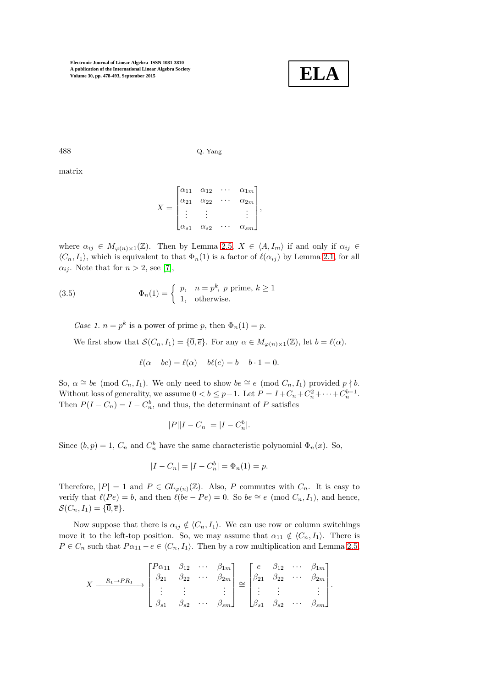

488 Q. Yang

matrix

$$
X = \begin{bmatrix} \alpha_{11} & \alpha_{12} & \cdots & \alpha_{1m} \\ \alpha_{21} & \alpha_{22} & \cdots & \alpha_{2m} \\ \vdots & \vdots & & \vdots \\ \alpha_{s1} & \alpha_{s2} & \cdots & \alpha_{sm} \end{bmatrix},
$$

where  $\alpha_{ij} \in M_{\varphi(n)\times 1}(\mathbb{Z})$ . Then by Lemma [2.5,](#page-8-1)  $X \in \langle A, I_m \rangle$  if and only if  $\alpha_{ij} \in$  $\langle C_n, I_1 \rangle$ , which is equivalent to that  $\Phi_n(1)$  is a factor of  $\ell(\alpha_{ij})$  by Lemma [2.1,](#page-6-0) for all  $\alpha_{ij}$ . Note that for  $n > 2$ , see [\[7\]](#page-15-7),

(3.5) 
$$
\Phi_n(1) = \begin{cases} p, & n = p^k, \ p \text{ prime}, \ k \ge 1 \\ 1, & \text{otherwise.} \end{cases}
$$

Case 1.  $n = p^k$  is a power of prime p, then  $\Phi_n(1) = p$ .

We first show that  $\mathcal{S}(C_n, I_1) = \{\overline{0}, \overline{e}\}.$  For any  $\alpha \in M_{\varphi(n) \times 1}(\mathbb{Z})$ , let  $b = \ell(\alpha)$ .

<span id="page-10-0"></span>
$$
\ell(\alpha - be) = \ell(\alpha) - b\ell(e) = b - b \cdot 1 = 0.
$$

So,  $\alpha \cong be \pmod{C_n, I_1}$ . We only need to show  $be \cong e \pmod{C_n, I_1}$  provided  $p \nmid b$ . Without loss of generality, we assume  $0 < b \leq p-1$ . Let  $P = I + C_n + C_n^2 + \cdots + C_n^{b-1}$ . Then  $P(I - C_n) = I - C_n^b$ , and thus, the determinant of P satisfies

$$
|P||I - C_n| = |I - C_n^b|.
$$

Since  $(b, p) = 1$ ,  $C_n$  and  $C_n^b$  have the same characteristic polynomial  $\Phi_n(x)$ . So,

$$
|I - C_n| = |I - C_n^b| = \Phi_n(1) = p.
$$

Therefore,  $|P| = 1$  and  $P \in GL_{\varphi(n)}(\mathbb{Z})$ . Also, P commutes with  $C_n$ . It is easy to verify that  $\ell(Pe) = b$ , and then  $\ell(be - Pe) = 0$ . So  $be \cong e \pmod{C_n, I_1}$ , and hence,  $\mathcal{S}(C_n, I_1) = \{\overline{0}, \overline{e}\}.$ 

Now suppose that there is  $\alpha_{ij} \notin \langle C_n, I_1 \rangle$ . We can use row or column switchings move it to the left-top position. So, we may assume that  $\alpha_{11} \notin \langle C_n, I_1 \rangle$ . There is  $P \in C_n$  such that  $P\alpha_{11} - e \in \langle C_n, I_1 \rangle$ . Then by a row multiplication and Lemma [2.5,](#page-8-1)

$$
X \xrightarrow{R_1 \to P R_1} \begin{bmatrix} P\alpha_{11} & \beta_{12} & \cdots & \beta_{1m} \\ \beta_{21} & \beta_{22} & \cdots & \beta_{2m} \\ \vdots & \vdots & & \vdots \\ \beta_{s1} & \beta_{s2} & \cdots & \beta_{sm} \end{bmatrix} \cong \begin{bmatrix} e & \beta_{12} & \cdots & \beta_{1m} \\ \beta_{21} & \beta_{22} & \cdots & \beta_{2m} \\ \vdots & \vdots & & \vdots \\ \beta_{s1} & \beta_{s2} & \cdots & \beta_{sm} \end{bmatrix}.
$$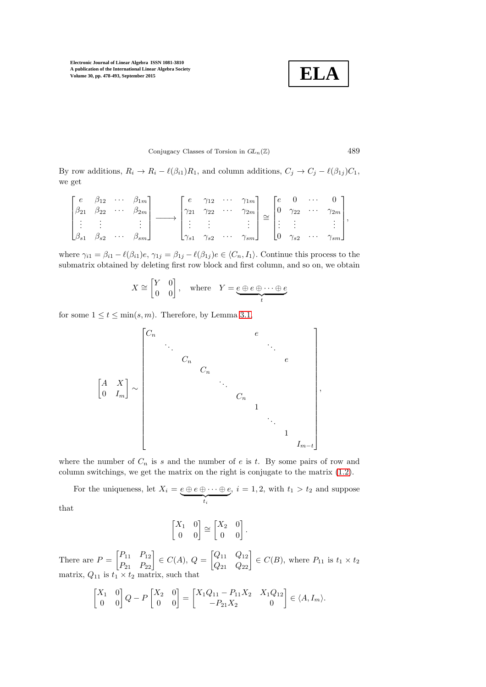**ELA**

### Conjugacy Classes of Torsion in  $GL_n(\mathbb{Z})$  489

By row additions,  $R_i \to R_i - \ell(\beta_{i1})R_1$ , and column additions,  $C_j \to C_j - \ell(\beta_{1j})C_1$ , we get

$$
\begin{bmatrix} e & \beta_{12} & \cdots & \beta_{1m} \\ \beta_{21} & \beta_{22} & \cdots & \beta_{2m} \\ \vdots & \vdots & & \vdots \\ \beta_{s1} & \beta_{s2} & \cdots & \beta_{sm} \end{bmatrix} \longrightarrow \begin{bmatrix} e & \gamma_{12} & \cdots & \gamma_{1m} \\ \gamma_{21} & \gamma_{22} & \cdots & \gamma_{2m} \\ \vdots & \vdots & & \vdots \\ \gamma_{s1} & \gamma_{s2} & \cdots & \gamma_{sm} \end{bmatrix} \cong \begin{bmatrix} e & 0 & \cdots & 0 \\ 0 & \gamma_{22} & \cdots & \gamma_{2m} \\ \vdots & \vdots & & \vdots \\ 0 & \gamma_{s2} & \cdots & \gamma_{sm} \end{bmatrix},
$$

where  $\gamma_{i1} = \beta_{i1} - \ell(\beta_{i1})e$ ,  $\gamma_{1j} = \beta_{1j} - \ell(\beta_{1j})e \in \langle C_n, I_1 \rangle$ . Continue this process to the submatrix obtained by deleting first row block and first column, and so on, we obtain

$$
X \cong \begin{bmatrix} Y & 0 \\ 0 & 0 \end{bmatrix}, \quad \text{where} \quad Y = \underbrace{e \oplus e \oplus \cdots \oplus e}_{t}
$$

for some  $1 \le t \le \min(s, m)$ . Therefore, by Lemma [3.1,](#page-9-0)

 A X 0 I<sup>m</sup> ∼ C<sup>n</sup> e . . . . . . C<sup>n</sup> e C<sup>n</sup> . . . C<sup>n</sup> 1 . . . 1 Im−<sup>t</sup> ,

where the number of  $C_n$  is s and the number of e is t. By some pairs of row and column switchings, we get the matrix on the right is conjugate to the matrix [\(1.2\)](#page-3-3).

For the uniqueness, let  $X_i = e \oplus e \oplus \cdots \oplus e$  $t_i$ ,  $i = 1, 2$ , with  $t_1 > t_2$  and suppose

that

$$
\begin{bmatrix} X_1 & 0 \\ 0 & 0 \end{bmatrix} \cong \begin{bmatrix} X_2 & 0 \\ 0 & 0 \end{bmatrix}
$$

.

There are  $P = \begin{bmatrix} P_{11} & P_{12} \\ P_{21} & P_{22} \end{bmatrix} \in C(A), Q = \begin{bmatrix} Q_{11} & Q_{12} \\ Q_{21} & Q_{22} \end{bmatrix} \in C(B)$ , where  $P_{11}$  is  $t_1 \times t_2$ matrix,  $Q_{11}$  is  $t_1 \times t_2$  matrix, such that

$$
\begin{bmatrix} X_1 & 0 \\ 0 & 0 \end{bmatrix} Q - P \begin{bmatrix} X_2 & 0 \\ 0 & 0 \end{bmatrix} = \begin{bmatrix} X_1 Q_{11} - P_{11} X_2 & X_1 Q_{12} \\ -P_{21} X_2 & 0 \end{bmatrix} \in \langle A, I_m \rangle.
$$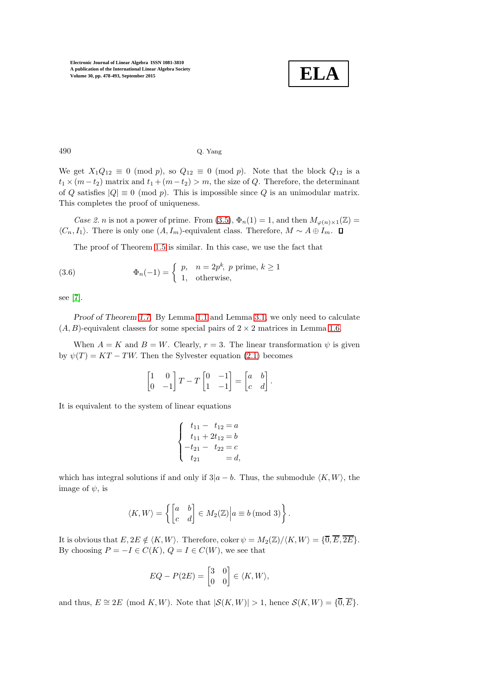

## 490 Q. Yang

We get  $X_1Q_{12} \equiv 0 \pmod{p}$ , so  $Q_{12} \equiv 0 \pmod{p}$ . Note that the block  $Q_{12}$  is a  $t_1 \times (m-t_2)$  matrix and  $t_1 + (m-t_2) > m$ , the size of Q. Therefore, the determinant of Q satisfies  $|Q| \equiv 0 \pmod{p}$ . This is impossible since Q is an unimodular matrix. This completes the proof of uniqueness.

Case 2. n is not a power of prime. From [\(3.5\)](#page-10-0),  $\Phi_n(1) = 1$ , and then  $M_{\varphi(n)\times 1}(\mathbb{Z}) =$  $\langle C_n, I_1 \rangle$ . There is only one  $(A, I_m)$ -equivalent class. Therefore,  $M \sim A \oplus I_m$ .  $\Box$ 

The proof of Theorem [1.5](#page-3-1) is similar. In this case, we use the fact that

(3.6) 
$$
\Phi_n(-1) = \begin{cases} p, & n = 2p^k, p \text{ prime}, k \ge 1 \\ 1, & \text{otherwise}, \end{cases}
$$

see [\[7\]](#page-15-7).

Proof of Theorem [1.7.](#page-5-1) By Lemma [1.1](#page-2-1) and Lemma [3.1,](#page-9-0) we only need to calculate  $(A, B)$ -equivalent classes for some special pairs of  $2 \times 2$  matrices in Lemma [1.6.](#page-4-0)

When  $A = K$  and  $B = W$ . Clearly,  $r = 3$ . The linear transformation  $\psi$  is given by  $\psi(T) = KT - TW$ . Then the Sylvester equation (2.[1\)](#page-6-1) becomes

$$
\begin{bmatrix} 1 & 0 \\ 0 & -1 \end{bmatrix} T - T \begin{bmatrix} 0 & -1 \\ 1 & -1 \end{bmatrix} = \begin{bmatrix} a & b \\ c & d \end{bmatrix}.
$$

It is equivalent to the system of linear equations

$$
\begin{cases}\n t_{11} - t_{12} = a \\
 t_{11} + 2t_{12} = b \\
 -t_{21} - t_{22} = c \\
 t_{21} = d,\n\end{cases}
$$

which has integral solutions if and only if  $3|a - b$ . Thus, the submodule  $\langle K, W \rangle$ , the image of  $\psi$ , is

$$
\langle K, W \rangle = \left\{ \begin{bmatrix} a & b \\ c & d \end{bmatrix} \in M_2(\mathbb{Z}) \middle| a \equiv b \text{ (mod 3)} \right\}.
$$

It is obvious that  $E, 2E \notin \langle K, W \rangle$ . Therefore, coker  $\psi = M_2(\mathbb{Z})/\langle K, W \rangle = \{ \overline{0}, \overline{E}, \overline{2E} \}$ . By choosing  $P = -I \in C(K)$ ,  $Q = I \in C(W)$ , we see that

$$
EQ-P(2E)=\begin{bmatrix} 3 & 0 \\ 0 & 0 \end{bmatrix} \in \langle K,W \rangle,
$$

and thus,  $E \cong 2E \pmod{K,W}$ . Note that  $|\mathcal{S}(K,W)| > 1$ , hence  $\mathcal{S}(K,W) = \{\overline{0}, \overline{E}\}.$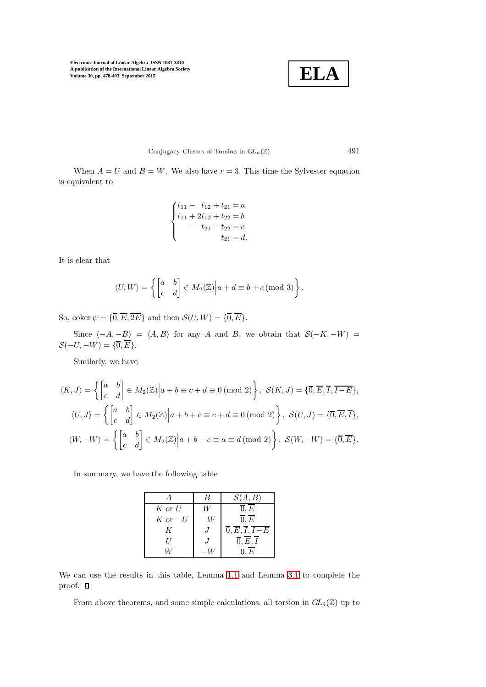$$
\mid
$$
 ELA

Conjugacy Classes of Torsion in  $GL_n(\mathbb{Z})$  491

When  $A = U$  and  $B = W$ . We also have  $r = 3$ . This time the Sylvester equation is equivalent to

$$
\begin{cases}\n t_{11} - t_{12} + t_{21} = a \\
 t_{11} + 2t_{12} + t_{22} = b \\
 - t_{21} - t_{22} = c \\
 t_{21} = d.\n\end{cases}
$$

It is clear that

$$
\langle U, W \rangle = \left\{ \begin{bmatrix} a & b \\ c & d \end{bmatrix} \in M_2(\mathbb{Z}) \middle| a + d \equiv b + c \text{ (mod 3)} \right\}.
$$

So, coker  $\psi = {\overline{0}, \overline{E}, \overline{2E}}$  and then  $\mathcal{S}(U, W) = {\overline{0}, \overline{E}}$ .

Since  $\langle -A, -B \rangle = \langle A, B \rangle$  for any A and B, we obtain that  $S(-K, -W)$  =  $\mathcal{S}(-U, -W) = \{\overline{0}, \overline{E}\}.$ 

Similarly, we have

$$
\langle K, J \rangle = \left\{ \begin{bmatrix} a & b \\ c & d \end{bmatrix} \in M_2(\mathbb{Z}) \middle| a+b \equiv c+d \equiv 0 \pmod{2} \right\}, \ S(K, J) = \{\overline{0}, \overline{E}, \overline{I}, \overline{I-E} \},
$$
  

$$
\langle U, J \rangle = \left\{ \begin{bmatrix} a & b \\ c & d \end{bmatrix} \in M_2(\mathbb{Z}) \middle| a+b+c \equiv c+d \equiv 0 \pmod{2} \right\}, \ S(U, J) = \{\overline{0}, \overline{E}, \overline{I} \},
$$
  

$$
\langle W, -W \rangle = \left\{ \begin{bmatrix} a & b \\ c & d \end{bmatrix} \in M_2(\mathbb{Z}) \middle| a+b+c \equiv a \equiv d \pmod{2} \right\}, \ S(W, -W) = \{\overline{0}, \overline{E}\}.
$$

In summary, we have the following table

|              | $\mathcal{S}(A,B)$                                         |
|--------------|------------------------------------------------------------|
| $K$ or $U$   | $\overline{0},\overline{E}$                                |
| $-K$ or $-U$ | $\overline{0}, E$                                          |
| K            | $\overline{0}, \overline{E}, \overline{I}, \overline{I-E}$ |
| $\prime$     | $\overline{0}, \overline{E}, \overline{I}$                 |
|              | 0.E                                                        |

We can use the results in this table, Lemma [1.1](#page-2-1) and Lemma [3.1](#page-9-0) to complete the proof.  $\square$ 

From above theorems, and some simple calculations, all torsion in  $GL_4(\mathbb{Z})$  up to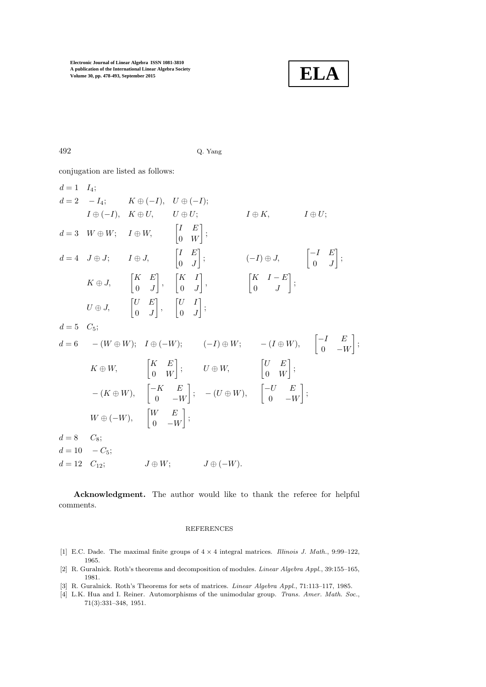

492 Q. Yang

conjugation are listed as follows:

$$
d = 1 \tI_4; \nd = 2 \t-I_4; \tK \oplus (-I), \tU \oplus (I); \tI \oplus K, \tI \oplus U; \tI \oplus U; \tI \oplus U; \tI \oplus V, \tI \oplus W, \t\begin{bmatrix} I & E \\ 0 & W \end{bmatrix}; \nd = 4 \tJ \oplus J; \tI \oplus J, \t\begin{bmatrix} I & E \\ 0 & J \end{bmatrix}; \t(-I) \oplus J, \t\begin{bmatrix} -I & E \\ 0 & J \end{bmatrix}; \tK \oplus J, \t\begin{bmatrix} K & E \\ 0 & J \end{bmatrix}, \t\begin{bmatrix} K & I \\ 0 & J \end{bmatrix}; \t\begin{bmatrix} K & I - E \\ 0 & J \end{bmatrix}; \tU \oplus J, \t\begin{bmatrix} U & E \\ 0 & J \end{bmatrix}, \t\begin{bmatrix} U & I \\ 0 & J \end{bmatrix}; \nd = 5 \tC_5; \nd = 6 \t-(W \oplus W); \tI \oplus (-W); \t(-I) \oplus W; \t-I \oplus W), \t\begin{bmatrix} -I & E \\ 0 & -W \end{bmatrix}; \tK \oplus W, \t\begin{bmatrix} K & E \\ 0 & W \end{bmatrix}; \tU \oplus W, \t\begin{bmatrix} U & E \\ 0 & W \end{bmatrix}; \t-(K \oplus W), \t\begin{bmatrix} -K & E \\ 0 & -W \end{bmatrix}; \t-(U \oplus W), \t\begin{bmatrix} -U & E \\ 0 & -W \end{bmatrix}; \tW \oplus (-W), \t\begin{bmatrix} W & E \\ 0 & -W \end{bmatrix}; \nd = 8 \tC_8; \nd = 10 \t-C_5; \nd = 12 \tC_{12}; \tJ \oplus W; \tJ \oplus (-W).
$$

Acknowledgment. The author would like to thank the referee for helpful comments.

### REFERENCES

- <span id="page-14-1"></span>[1] E.C. Dade. The maximal finite groups of  $4 \times 4$  integral matrices. *Illinois J. Math.*, 9:99–122, 1965.
- <span id="page-14-2"></span>[2] R. Guralnick. Roth's theorems and decomposition of modules. Linear Algebra Appl., 39:155–165, 1981.
- <span id="page-14-3"></span><span id="page-14-0"></span>[3] R. Guralnick. Roth's Theorems for sets of matrices. *Linear Algebra Appl.*, 71:113-117, 1985.
- [4] L.K. Hua and I. Reiner. Automorphisms of the unimodular group. Trans. Amer. Math. Soc., 71(3):331–348, 1951.